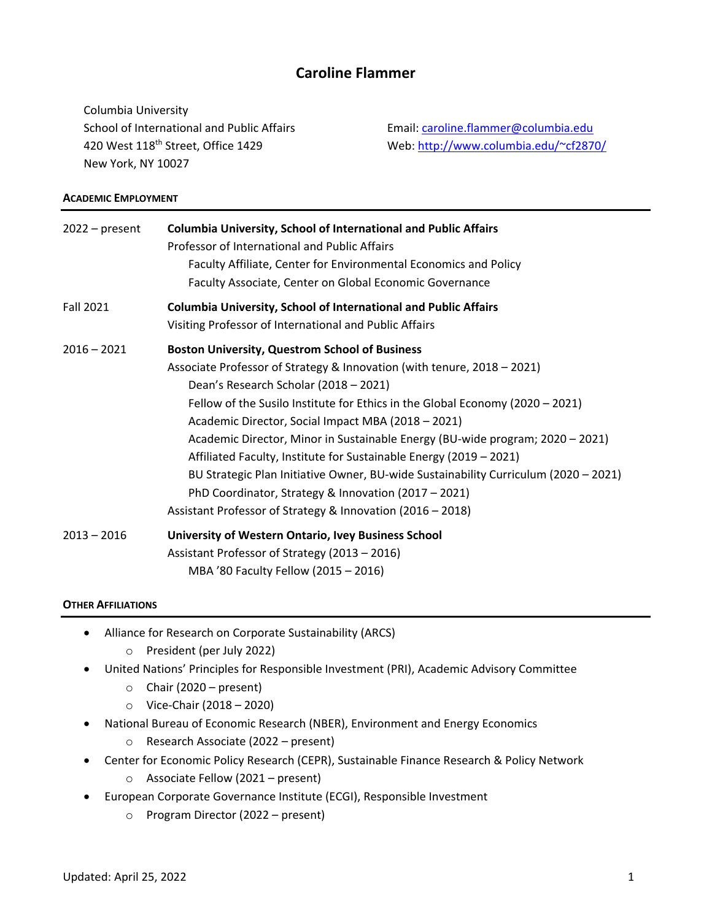# **Caroline Flammer**

Columbia University School of International and Public Affairs 420 West 118<sup>th</sup> Street, Office 1429 New York, NY 10027

Email: [caroline.flammer@columbia.edu](mailto:caroline.flammer@columbia.edu)  Web: http://www.columbia.edu/~cf2870/

### **ACADEMIC EMPLOYMENT**

| $2022$ – present | <b>Columbia University, School of International and Public Affairs</b><br>Professor of International and Public Affairs<br>Faculty Affiliate, Center for Environmental Economics and Policy<br>Faculty Associate, Center on Global Economic Governance                                                                                                                                                                                                                                                                                                                                                                                                                               |
|------------------|--------------------------------------------------------------------------------------------------------------------------------------------------------------------------------------------------------------------------------------------------------------------------------------------------------------------------------------------------------------------------------------------------------------------------------------------------------------------------------------------------------------------------------------------------------------------------------------------------------------------------------------------------------------------------------------|
| <b>Fall 2021</b> | Columbia University, School of International and Public Affairs<br>Visiting Professor of International and Public Affairs                                                                                                                                                                                                                                                                                                                                                                                                                                                                                                                                                            |
| $2016 - 2021$    | <b>Boston University, Questrom School of Business</b><br>Associate Professor of Strategy & Innovation (with tenure, 2018 - 2021)<br>Dean's Research Scholar (2018 - 2021)<br>Fellow of the Susilo Institute for Ethics in the Global Economy (2020 - 2021)<br>Academic Director, Social Impact MBA (2018 - 2021)<br>Academic Director, Minor in Sustainable Energy (BU-wide program; 2020 - 2021)<br>Affiliated Faculty, Institute for Sustainable Energy (2019 – 2021)<br>BU Strategic Plan Initiative Owner, BU-wide Sustainability Curriculum (2020 - 2021)<br>PhD Coordinator, Strategy & Innovation (2017 - 2021)<br>Assistant Professor of Strategy & Innovation (2016 – 2018) |
| $2013 - 2016$    | University of Western Ontario, Ivey Business School<br>Assistant Professor of Strategy (2013 - 2016)<br>MBA '80 Faculty Fellow (2015 - 2016)                                                                                                                                                                                                                                                                                                                                                                                                                                                                                                                                         |

#### **OTHER AFFILIATIONS**

- Alliance for Research on Corporate Sustainability (ARCS)
	- o President (per July 2022)
- United Nations' Principles for Responsible Investment (PRI), Academic Advisory Committee
	- $\circ$  Chair (2020 present)
	- o Vice-Chair (2018 2020)
- National Bureau of Economic Research (NBER), Environment and Energy Economics
	- o Research Associate (2022 present)
- Center for Economic Policy Research (CEPR), Sustainable Finance Research & Policy Network
	- o Associate Fellow (2021 present)
- European Corporate Governance Institute (ECGI), Responsible Investment
	- o Program Director (2022 present)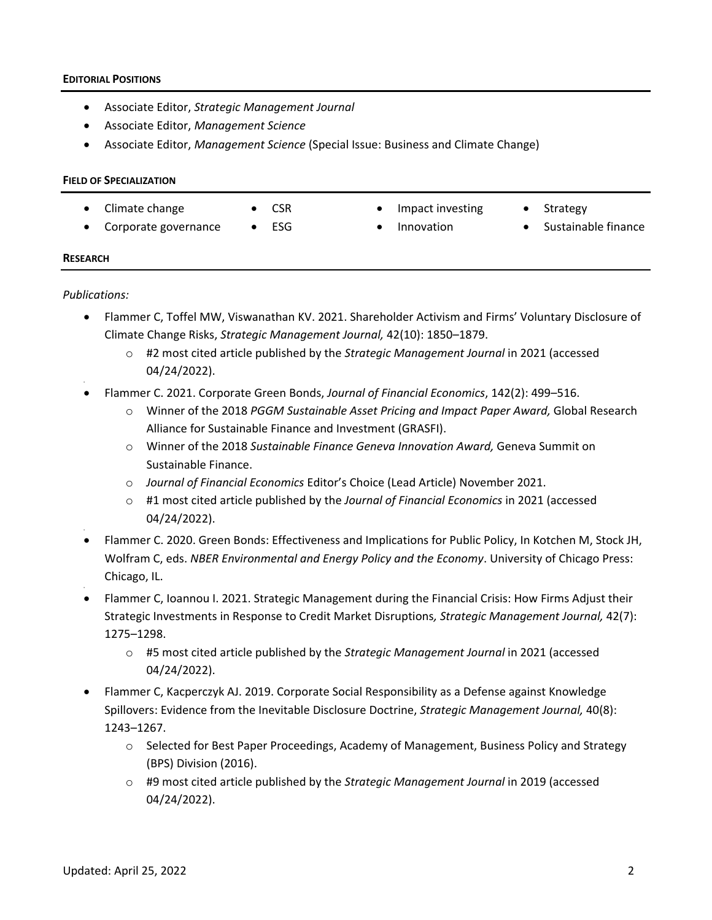#### **EDITORIAL POSITIONS**

- Associate Editor, *Strategic Management Journal*
- Associate Editor, *Management Science*
- Associate Editor, *Management Science* (Special Issue: Business and Climate Change)

#### **FIELD OF SPECIALIZATION**

• Climate change • Corporate governance • CSR • ESG • Impact investing • Innovation • Strategy • Sustainable finance

#### **RESEARCH**

•

### *Publications:*

- Flammer C, Toffel MW, Viswanathan KV. 2021. Shareholder Activism and Firms' Voluntary Disclosure of Climate Change Risks, *Strategic Management Journal,* 42(10): 1850–1879.
	- o #2 most cited article published by the *Strategic Management Journal* in 2021 (accessed 04/24/2022).
- Flammer C. 2021. Corporate Green Bonds, *Journal of Financial Economics*, 142(2): 499–516.
	- o Winner of the 2018 *PGGM Sustainable Asset Pricing and Impact Paper Award,* Global Research Alliance for Sustainable Finance and Investment (GRASFI).
	- o Winner of the 2018 *Sustainable Finance Geneva Innovation Award,* Geneva Summit on Sustainable Finance.
	- o *Journal of Financial Economics* Editor's Choice (Lead Article) November 2021.
	- o #1 most cited article published by the *Journal of Financial Economics* in 2021 (accessed 04/24/2022).
- Flammer C. 2020. Green Bonds: Effectiveness and Implications for Public Policy, In Kotchen M, Stock JH, Wolfram C, eds. *NBER Environmental and Energy Policy and the Economy*. University of Chicago Press: Chicago, IL.
- Flammer C, Ioannou I. 2021. Strategic Management during the Financial Crisis: How Firms Adjust their Strategic Investments in Response to Credit Market Disruptions*, Strategic Management Journal,* 42(7): 1275–1298.
	- o #5 most cited article published by the *Strategic Management Journal* in 2021 (accessed 04/24/2022).
- Flammer C, Kacperczyk AJ. 2019. Corporate Social Responsibility as a Defense against Knowledge Spillovers: Evidence from the Inevitable Disclosure Doctrine, *Strategic Management Journal,* 40(8): 1243–1267.
	- o Selected for Best Paper Proceedings, Academy of Management, Business Policy and Strategy (BPS) Division (2016).
	- o #9 most cited article published by the *Strategic Management Journal* in 2019 (accessed 04/24/2022).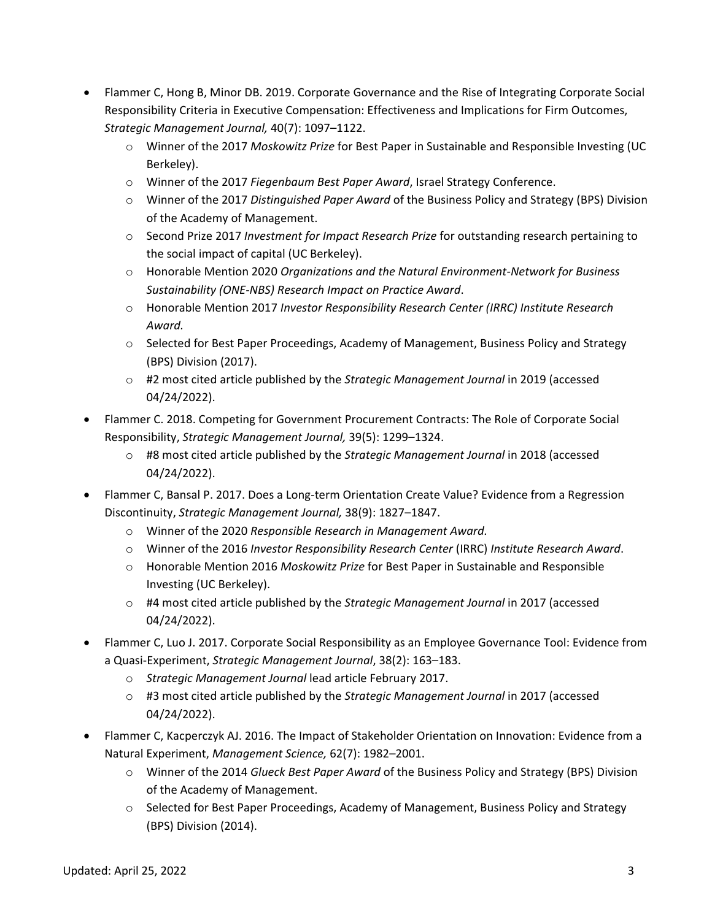- Flammer C, Hong B, Minor DB. 2019. Corporate Governance and the Rise of Integrating Corporate Social Responsibility Criteria in Executive Compensation: Effectiveness and Implications for Firm Outcomes, *Strategic Management Journal,* 40(7): 1097–1122.
	- o Winner of the 2017 *Moskowitz Prize* for Best Paper in Sustainable and Responsible Investing (UC Berkeley).
	- o Winner of the 2017 *Fiegenbaum Best Paper Award*, Israel Strategy Conference.
	- o Winner of the 2017 *Distinguished Paper Award* of the Business Policy and Strategy (BPS) Division of the Academy of Management.
	- o Second Prize 2017 *Investment for Impact Research Prize* for outstanding research pertaining to the social impact of capital (UC Berkeley).
	- o Honorable Mention 2020 *Organizations and the Natural Environment-Network for Business Sustainability (ONE-NBS) Research Impact on Practice Award*.
	- o Honorable Mention 2017 *Investor Responsibility Research Center (IRRC) Institute Research Award.*
	- o Selected for Best Paper Proceedings, Academy of Management, Business Policy and Strategy (BPS) Division (2017).
	- o #2 most cited article published by the *Strategic Management Journal* in 2019 (accessed 04/24/2022).
- Flammer C. 2018. Competing for Government Procurement Contracts: The Role of Corporate Social Responsibility, *Strategic Management Journal,* 39(5): 1299–1324.
	- o #8 most cited article published by the *Strategic Management Journal* in 2018 (accessed 04/24/2022).
- Flammer C, Bansal P. 2017. Does a Long-term Orientation Create Value? Evidence from a Regression Discontinuity, *Strategic Management Journal,* 38(9): 1827–1847.
	- o Winner of the 2020 *Responsible Research in Management Award.*
	- o Winner of the 2016 *Investor Responsibility Research Center* (IRRC) *Institute Research Award*.
	- o Honorable Mention 2016 *Moskowitz Prize* for Best Paper in Sustainable and Responsible Investing (UC Berkeley).
	- o #4 most cited article published by the *Strategic Management Journal* in 2017 (accessed 04/24/2022).
- Flammer C, Luo J. 2017. Corporate Social Responsibility as an Employee Governance Tool: Evidence from a Quasi-Experiment, *Strategic Management Journal*, 38(2): 163–183.
	- o *Strategic Management Journal* lead article February 2017.
	- o #3 most cited article published by the *Strategic Management Journal* in 2017 (accessed 04/24/2022).
- Flammer C, Kacperczyk AJ. 2016. The Impact of Stakeholder Orientation on Innovation: Evidence from a Natural Experiment, *Management Science,* 62(7): 1982–2001.
	- o Winner of the 2014 *Glueck Best Paper Award* of the Business Policy and Strategy (BPS) Division of the Academy of Management.
	- o Selected for Best Paper Proceedings, Academy of Management, Business Policy and Strategy (BPS) Division (2014).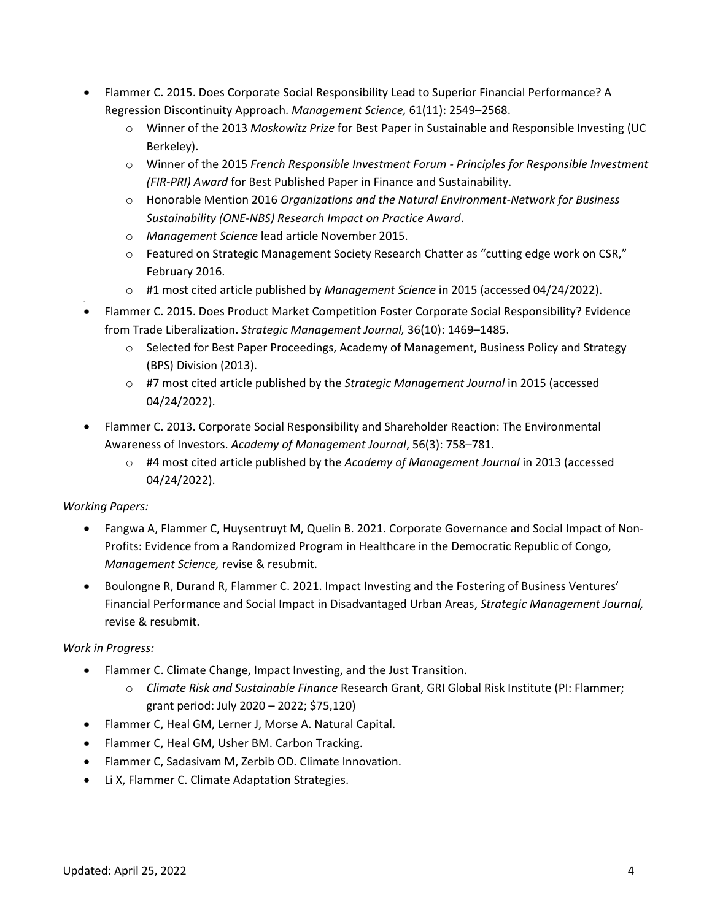- Flammer C. 2015. Does Corporate Social Responsibility Lead to Superior Financial Performance? A Regression Discontinuity Approach. *Management Science,* 61(11): 2549–2568.
	- o Winner of the 2013 *Moskowitz Prize* for Best Paper in Sustainable and Responsible Investing (UC Berkeley).
	- o Winner of the 2015 *French Responsible Investment Forum - Principles for Responsible Investment (FIR-PRI) Award* for Best Published Paper in Finance and Sustainability.
	- o Honorable Mention 2016 *Organizations and the Natural Environment-Network for Business Sustainability (ONE-NBS) Research Impact on Practice Award*.
	- o *Management Science* lead article November 2015.
	- o Featured on Strategic Management Society Research Chatter as "cutting edge work on CSR," February 2016.
	- o #1 most cited article published by *Management Science* in 2015 (accessed 04/24/2022).
- Flammer C. 2015. Does Product Market Competition Foster Corporate Social Responsibility? Evidence from Trade Liberalization. *Strategic Management Journal,* 36(10): 1469–1485.
	- o Selected for Best Paper Proceedings, Academy of Management, Business Policy and Strategy (BPS) Division (2013).
	- o #7 most cited article published by the *Strategic Management Journal* in 2015 (accessed 04/24/2022).
- Flammer C. 2013. Corporate Social Responsibility and Shareholder Reaction: The Environmental Awareness of Investors. *Academy of Management Journal*, 56(3): 758–781.
	- o #4 most cited article published by the *Academy of Management Journal* in 2013 (accessed 04/24/2022).

## *Working Papers:*

•

- Fangwa A, Flammer C, Huysentruyt M, Quelin B. 2021. Corporate Governance and Social Impact of Non-Profits: Evidence from a Randomized Program in Healthcare in the Democratic Republic of Congo, *Management Science,* revise & resubmit.
- Boulongne R, Durand R, Flammer C. 2021. Impact Investing and the Fostering of Business Ventures' Financial Performance and Social Impact in Disadvantaged Urban Areas, *Strategic Management Journal,* revise & resubmit.

## *Work in Progress:*

- Flammer C. Climate Change, Impact Investing, and the Just Transition.
	- o *Climate Risk and Sustainable Finance* Research Grant, GRI Global Risk Institute (PI: Flammer; grant period: July 2020 – 2022; \$75,120)
- Flammer C, Heal GM, Lerner J, Morse A. Natural Capital.
- Flammer C, Heal GM, Usher BM. Carbon Tracking.
- Flammer C, Sadasivam M, Zerbib OD. Climate Innovation.
- Li X, Flammer C. Climate Adaptation Strategies.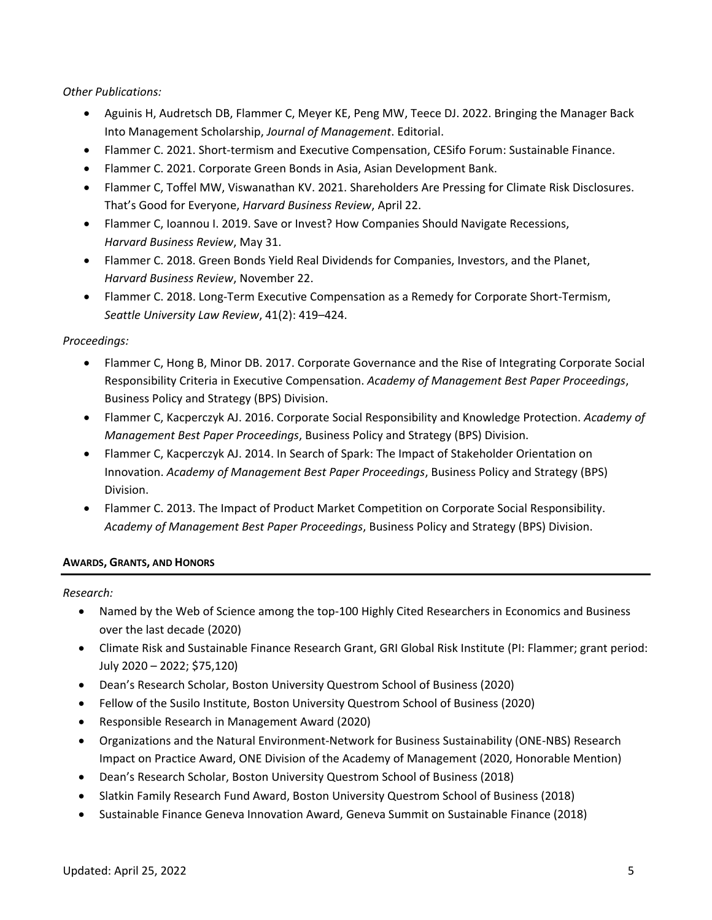*Other Publications:*

- Aguinis H, Audretsch DB, Flammer C, Meyer KE, Peng MW, Teece DJ. 2022. Bringing the Manager Back Into Management Scholarship, *Journal of Management*. Editorial.
- Flammer C. 2021. Short-termism and Executive Compensation, CESifo Forum: Sustainable Finance.
- Flammer C. 2021. Corporate Green Bonds in Asia, Asian Development Bank.
- Flammer C, Toffel MW, Viswanathan KV. 2021. Shareholders Are Pressing for Climate Risk Disclosures. That's Good for Everyone, *Harvard Business Review*, April 22.
- Flammer C, Ioannou I. 2019. Save or Invest? How Companies Should Navigate Recessions, *Harvard Business Review*, May 31.
- Flammer C. 2018. Green Bonds Yield Real Dividends for Companies, Investors, and the Planet, *Harvard Business Review*, November 22.
- Flammer C. 2018. Long-Term Executive Compensation as a Remedy for Corporate Short-Termism, *Seattle University Law Review*, 41(2): 419–424.

### *Proceedings:*

- Flammer C, Hong B, Minor DB. 2017. Corporate Governance and the Rise of Integrating Corporate Social Responsibility Criteria in Executive Compensation. *Academy of Management Best Paper Proceedings*, Business Policy and Strategy (BPS) Division.
- Flammer C, Kacperczyk AJ. 2016. Corporate Social Responsibility and Knowledge Protection. *Academy of Management Best Paper Proceedings*, Business Policy and Strategy (BPS) Division.
- Flammer C, Kacperczyk AJ. 2014. In Search of Spark: The Impact of Stakeholder Orientation on Innovation. *Academy of Management Best Paper Proceedings*, Business Policy and Strategy (BPS) Division.
- Flammer C. 2013. The Impact of Product Market Competition on Corporate Social Responsibility. *Academy of Management Best Paper Proceedings*, Business Policy and Strategy (BPS) Division.

### **AWARDS, GRANTS, AND HONORS**

*Research:*

- Named by the Web of Science among the top-100 Highly Cited Researchers in Economics and Business over the last decade (2020)
- Climate Risk and Sustainable Finance Research Grant, GRI Global Risk Institute (PI: Flammer; grant period: July 2020 – 2022; \$75,120)
- Dean's Research Scholar, Boston University Questrom School of Business (2020)
- Fellow of the Susilo Institute, Boston University Questrom School of Business (2020)
- Responsible Research in Management Award (2020)
- Organizations and the Natural Environment-Network for Business Sustainability (ONE-NBS) Research Impact on Practice Award, ONE Division of the Academy of Management (2020, Honorable Mention)
- Dean's Research Scholar, Boston University Questrom School of Business (2018)
- Slatkin Family Research Fund Award, Boston University Questrom School of Business (2018)
- Sustainable Finance Geneva Innovation Award, Geneva Summit on Sustainable Finance (2018)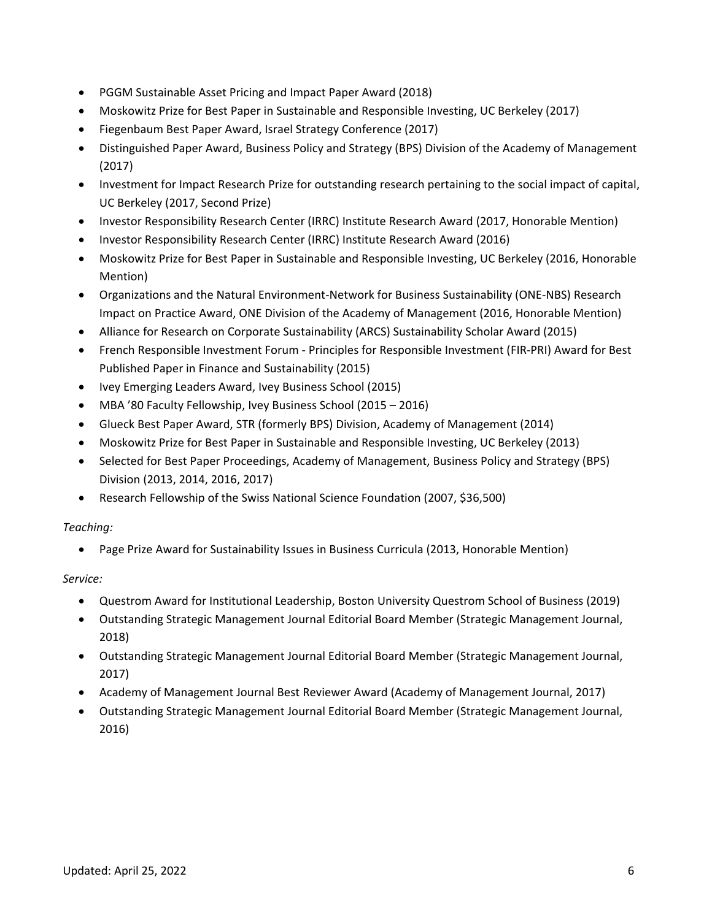- PGGM Sustainable Asset Pricing and Impact Paper Award (2018)
- Moskowitz Prize for Best Paper in Sustainable and Responsible Investing, UC Berkeley (2017)
- Fiegenbaum Best Paper Award, Israel Strategy Conference (2017)
- Distinguished Paper Award, Business Policy and Strategy (BPS) Division of the Academy of Management (2017)
- Investment for Impact Research Prize for outstanding research pertaining to the social impact of capital, UC Berkeley (2017, Second Prize)
- Investor Responsibility Research Center (IRRC) Institute Research Award (2017, Honorable Mention)
- Investor Responsibility Research Center (IRRC) Institute Research Award (2016)
- Moskowitz Prize for Best Paper in Sustainable and Responsible Investing, UC Berkeley (2016, Honorable Mention)
- Organizations and the Natural Environment-Network for Business Sustainability (ONE-NBS) Research Impact on Practice Award, ONE Division of the Academy of Management (2016, Honorable Mention)
- [Alliance for Research on Corporate Sustainability](http://corporate-sustainability.org/) (ARCS) Sustainability Scholar Award (2015)
- French Responsible Investment Forum Principles for Responsible Investment (FIR-PRI) Award for Best Published Paper in Finance and Sustainability (2015)
- Ivey Emerging Leaders Award, Ivey Business School (2015)
- MBA '80 Faculty Fellowship, Ivey Business School (2015 2016)
- Glueck Best Paper Award, STR (formerly BPS) Division, Academy of Management (2014)
- Moskowitz Prize for Best Paper in Sustainable and Responsible Investing, UC Berkeley (2013)
- Selected for Best Paper Proceedings, Academy of Management, Business Policy and Strategy (BPS) Division (2013, 2014, 2016, 2017)
- Research Fellowship of the Swiss National Science Foundation (2007, \$36,500)

### *Teaching:*

• Page Prize Award for Sustainability Issues in Business Curricula (2013, Honorable Mention)

### *Service:*

- Questrom Award for Institutional Leadership, Boston University Questrom School of Business (2019)
- Outstanding Strategic Management Journal Editorial Board Member (Strategic Management Journal, 2018)
- Outstanding Strategic Management Journal Editorial Board Member (Strategic Management Journal, 2017)
- Academy of Management Journal Best Reviewer Award (Academy of Management Journal, 2017)
- Outstanding Strategic Management Journal Editorial Board Member (Strategic Management Journal, 2016)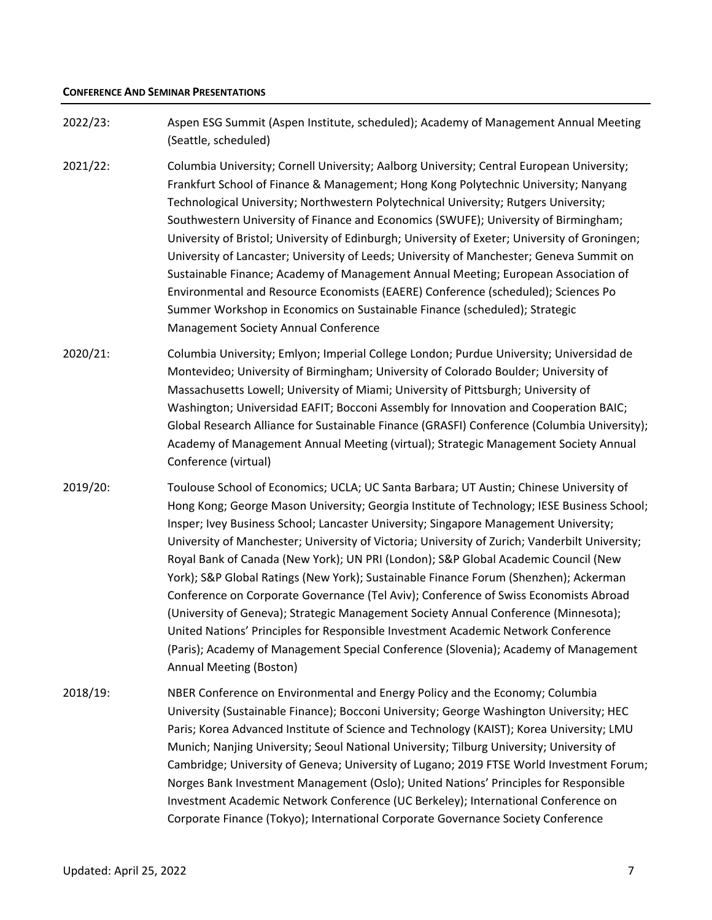#### **CONFERENCE AND SEMINAR PRESENTATIONS**

- 2022/23: Aspen ESG Summit (Aspen Institute, scheduled); Academy of Management Annual Meeting (Seattle, scheduled)
- 2021/22: Columbia University; Cornell University; Aalborg University; Central European University; Frankfurt School of Finance & Management; Hong Kong Polytechnic University; Nanyang Technological University; Northwestern Polytechnical University; Rutgers University; Southwestern University of Finance and Economics (SWUFE); University of Birmingham; University of Bristol; University of Edinburgh; University of Exeter; University of Groningen; University of Lancaster; University of Leeds; University of Manchester; Geneva Summit on Sustainable Finance; Academy of Management Annual Meeting; European Association of Environmental and Resource Economists (EAERE) Conference (scheduled); Sciences Po Summer Workshop in Economics on Sustainable Finance (scheduled); Strategic Management Society Annual Conference
- 2020/21: Columbia University; Emlyon; Imperial College London; Purdue University; Universidad de Montevideo; University of Birmingham; University of Colorado Boulder; University of Massachusetts Lowell; University of Miami; University of Pittsburgh; University of Washington; Universidad EAFIT; Bocconi Assembly for Innovation and Cooperation BAIC; Global Research Alliance for Sustainable Finance (GRASFI) Conference (Columbia University); Academy of Management Annual Meeting (virtual); Strategic Management Society Annual Conference (virtual)
- 2019/20: Toulouse School of Economics; UCLA; UC Santa Barbara; UT Austin; Chinese University of Hong Kong; George Mason University; Georgia Institute of Technology; IESE Business School; Insper; Ivey Business School; Lancaster University; Singapore Management University; University of Manchester; University of Victoria; University of Zurich; Vanderbilt University; Royal Bank of Canada (New York); UN PRI (London); S&P Global Academic Council (New York); S&P Global Ratings (New York); Sustainable Finance Forum (Shenzhen); Ackerman Conference on Corporate Governance (Tel Aviv); Conference of Swiss Economists Abroad (University of Geneva); Strategic Management Society Annual Conference (Minnesota); United Nations' Principles for Responsible Investment Academic Network Conference (Paris); Academy of Management Special Conference (Slovenia); Academy of Management Annual Meeting (Boston)
- 2018/19: NBER Conference on Environmental and Energy Policy and the Economy; Columbia University (Sustainable Finance); Bocconi University; George Washington University; HEC Paris; Korea Advanced Institute of Science and Technology (KAIST); Korea University; LMU Munich; Nanjing University; Seoul National University; Tilburg University; University of Cambridge; University of Geneva; University of Lugano; 2019 FTSE World Investment Forum; Norges Bank Investment Management (Oslo); United Nations' Principles for Responsible Investment Academic Network Conference (UC Berkeley); International Conference on Corporate Finance (Tokyo); International Corporate Governance Society Conference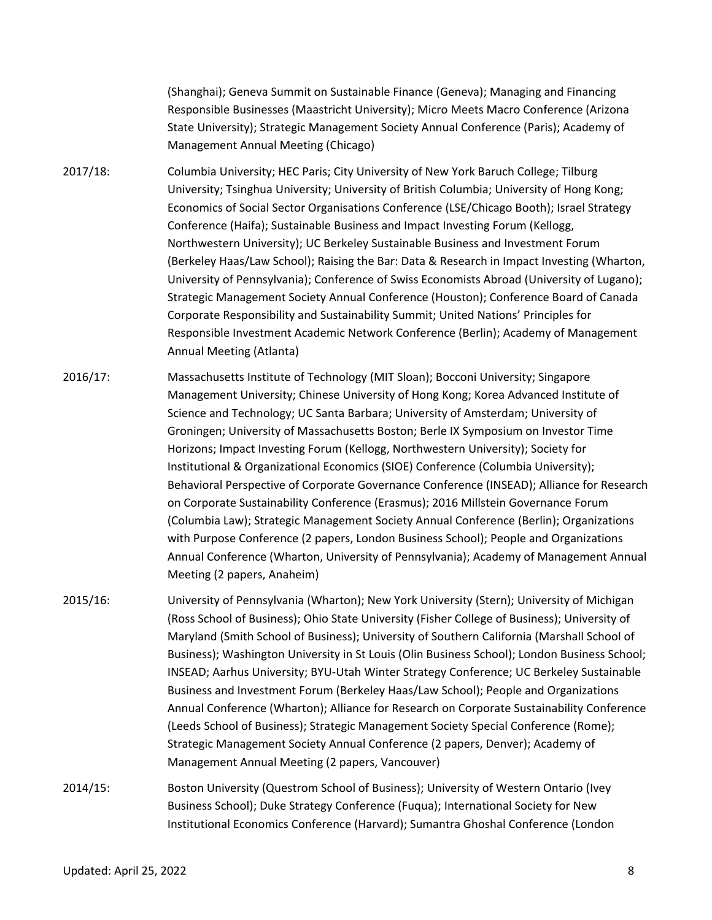(Shanghai); Geneva Summit on Sustainable Finance (Geneva); Managing and Financing Responsible Businesses (Maastricht University); Micro Meets Macro Conference (Arizona State University); Strategic Management Society Annual Conference (Paris); Academy of Management Annual Meeting (Chicago)

- 2017/18: Columbia University; HEC Paris; City University of New York Baruch College; Tilburg University; Tsinghua University; University of British Columbia; University of Hong Kong; Economics of Social Sector Organisations Conference (LSE/Chicago Booth); Israel Strategy Conference (Haifa); Sustainable Business and Impact Investing Forum (Kellogg, Northwestern University); UC Berkeley Sustainable Business and Investment Forum (Berkeley Haas/Law School); Raising the Bar: Data & Research in Impact Investing (Wharton, University of Pennsylvania); Conference of Swiss Economists Abroad (University of Lugano); Strategic Management Society Annual Conference (Houston); Conference Board of Canada Corporate Responsibility and Sustainability Summit; United Nations' Principles for Responsible Investment Academic Network Conference (Berlin); Academy of Management Annual Meeting (Atlanta)
- 2016/17: Massachusetts Institute of Technology (MIT Sloan); Bocconi University; Singapore Management University; Chinese University of Hong Kong; Korea Advanced Institute of Science and Technology; UC Santa Barbara; University of Amsterdam; University of Groningen; University of Massachusetts Boston; Berle IX Symposium on Investor Time Horizons; Impact Investing Forum (Kellogg, Northwestern University); Society for Institutional & Organizational Economics (SIOE) Conference (Columbia University); Behavioral Perspective of Corporate Governance Conference (INSEAD); Alliance for Research on Corporate Sustainability Conference (Erasmus); 2016 Millstein Governance Forum (Columbia Law); Strategic Management Society Annual Conference (Berlin); Organizations with Purpose Conference (2 papers, London Business School); People and Organizations Annual Conference (Wharton, University of Pennsylvania); Academy of Management Annual Meeting (2 papers, Anaheim)
- 2015/16: University of Pennsylvania (Wharton); New York University (Stern); University of Michigan (Ross School of Business); Ohio State University (Fisher College of Business); University of Maryland (Smith School of Business); University of Southern California (Marshall School of Business); Washington University in St Louis (Olin Business School); London Business School; INSEAD; Aarhus University; BYU-Utah Winter Strategy Conference; UC Berkeley Sustainable Business and Investment Forum (Berkeley Haas/Law School); People and Organizations Annual Conference (Wharton); Alliance for Research on Corporate Sustainability Conference (Leeds School of Business); Strategic Management Society Special Conference (Rome); Strategic Management Society Annual Conference (2 papers, Denver); Academy of Management Annual Meeting (2 papers, Vancouver)
- 2014/15: Boston University (Questrom School of Business); University of Western Ontario (Ivey Business School); Duke Strategy Conference (Fuqua); International Society for New Institutional Economics Conference (Harvard); Sumantra Ghoshal Conference (London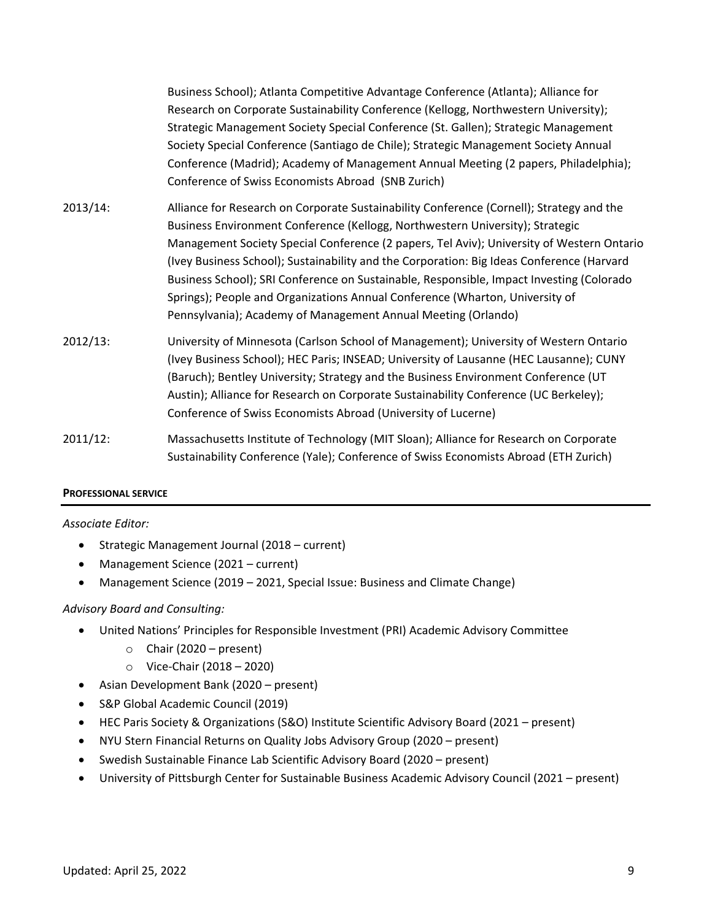Business School); Atlanta Competitive Advantage Conference (Atlanta); Alliance for Research on Corporate Sustainability Conference (Kellogg, Northwestern University); Strategic Management Society Special Conference (St. Gallen); Strategic Management Society Special Conference (Santiago de Chile); Strategic Management Society Annual Conference (Madrid); Academy of Management Annual Meeting (2 papers, Philadelphia); Conference of Swiss Economists Abroad (SNB Zurich)

- 2013/14: Alliance for Research on Corporate Sustainability Conference (Cornell); Strategy and the Business Environment Conference (Kellogg, Northwestern University); Strategic Management Society Special Conference (2 papers, Tel Aviv); University of Western Ontario (Ivey Business School); Sustainability and the Corporation: Big Ideas Conference (Harvard Business School); SRI Conference on Sustainable, Responsible, Impact Investing (Colorado Springs); People and Organizations Annual Conference (Wharton, University of Pennsylvania); Academy of Management Annual Meeting (Orlando)
- 2012/13: University of Minnesota (Carlson School of Management); University of Western Ontario (Ivey Business School); HEC Paris; INSEAD; University of Lausanne (HEC Lausanne); CUNY (Baruch); Bentley University; Strategy and the Business Environment Conference (UT Austin); Alliance for Research on Corporate Sustainability Conference (UC Berkeley); Conference of Swiss Economists Abroad (University of Lucerne)
- 2011/12: Massachusetts Institute of Technology (MIT Sloan); Alliance for Research on Corporate Sustainability Conference (Yale); Conference of Swiss Economists Abroad (ETH Zurich)

### **PROFESSIONAL SERVICE**

#### *Associate Editor:*

- Strategic Management Journal (2018 current)
- Management Science (2021 current)
- Management Science (2019 2021, Special Issue: Business and Climate Change)

### *Advisory Board and Consulting:*

- United Nations' Principles for Responsible Investment (PRI) Academic Advisory Committee
	- $\circ$  Chair (2020 present)
	- o Vice-Chair (2018 2020)
- Asian Development Bank (2020 present)
- S&P Global Academic Council (2019)
- HEC Paris Society & Organizations (S&O) Institute Scientific Advisory Board (2021 present)
- NYU Stern Financial Returns on Quality Jobs Advisory Group (2020 present)
- Swedish Sustainable Finance Lab Scientific Advisory Board (2020 present)
- University of Pittsburgh Center for Sustainable Business Academic Advisory Council (2021 present)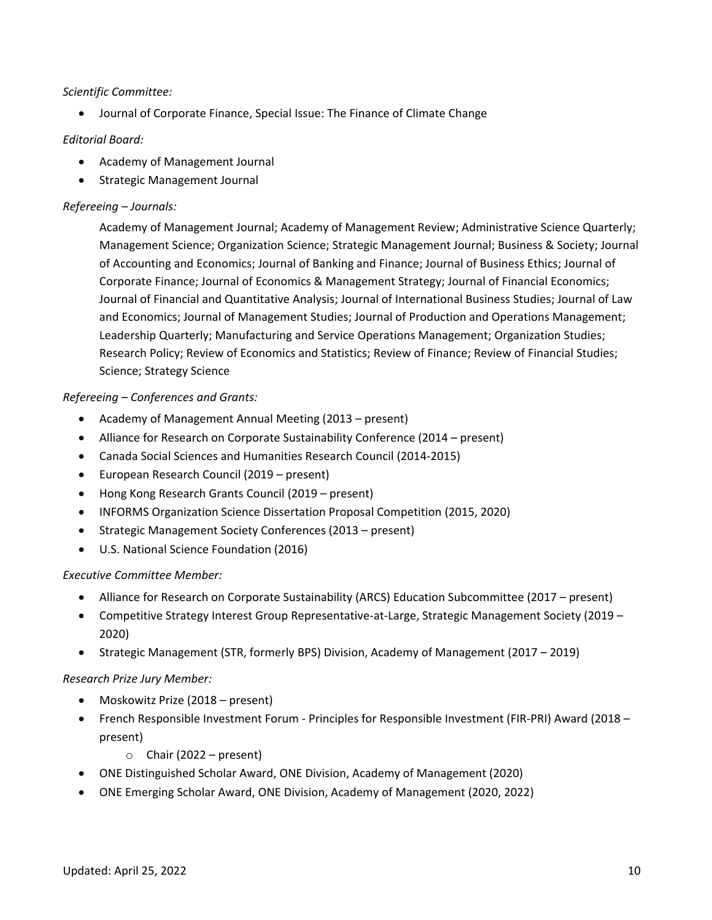#### *Scientific Committee:*

• Journal of Corporate Finance, Special Issue: The Finance of Climate Change

### *Editorial Board:*

- Academy of Management Journal
- Strategic Management Journal

### *Refereeing – Journals:*

Academy of Management Journal; Academy of Management Review; Administrative Science Quarterly; Management Science; Organization Science; Strategic Management Journal; Business & Society; Journal of Accounting and Economics; Journal of Banking and Finance; Journal of Business Ethics; Journal of Corporate Finance; Journal of Economics & Management Strategy; Journal of Financial Economics; Journal of Financial and Quantitative Analysis; Journal of International Business Studies; Journal of Law and Economics; Journal of Management Studies; Journal of Production and Operations Management; Leadership Quarterly; Manufacturing and Service Operations Management; Organization Studies; Research Policy; Review of Economics and Statistics; Review of Finance; Review of Financial Studies; Science; Strategy Science

### *Refereeing – Conferences and Grants:*

- Academy of Management Annual Meeting (2013 present)
- Alliance for Research on Corporate Sustainability Conference (2014 present)
- Canada Social Sciences and Humanities Research Council (2014-2015)
- European Research Council (2019 present)
- Hong Kong Research Grants Council (2019 present)
- INFORMS Organization Science Dissertation Proposal Competition (2015, 2020)
- Strategic Management Society Conferences (2013 present)
- U.S. National Science Foundation (2016)

### *Executive Committee Member:*

- Alliance for Research on Corporate Sustainability (ARCS) Education Subcommittee (2017 present)
- Competitive Strategy Interest Group Representative-at-Large, Strategic Management Society (2019 2020)
- Strategic Management (STR, formerly BPS) Division, Academy of Management (2017 2019)

### *Research Prize Jury Member:*

- Moskowitz Prize (2018 present)
- French Responsible Investment Forum Principles for Responsible Investment (FIR-PRI) Award (2018 present)
	- $\circ$  Chair (2022 present)
- ONE Distinguished Scholar Award, ONE Division, Academy of Management (2020)
- ONE Emerging Scholar Award, ONE Division, Academy of Management (2020, 2022)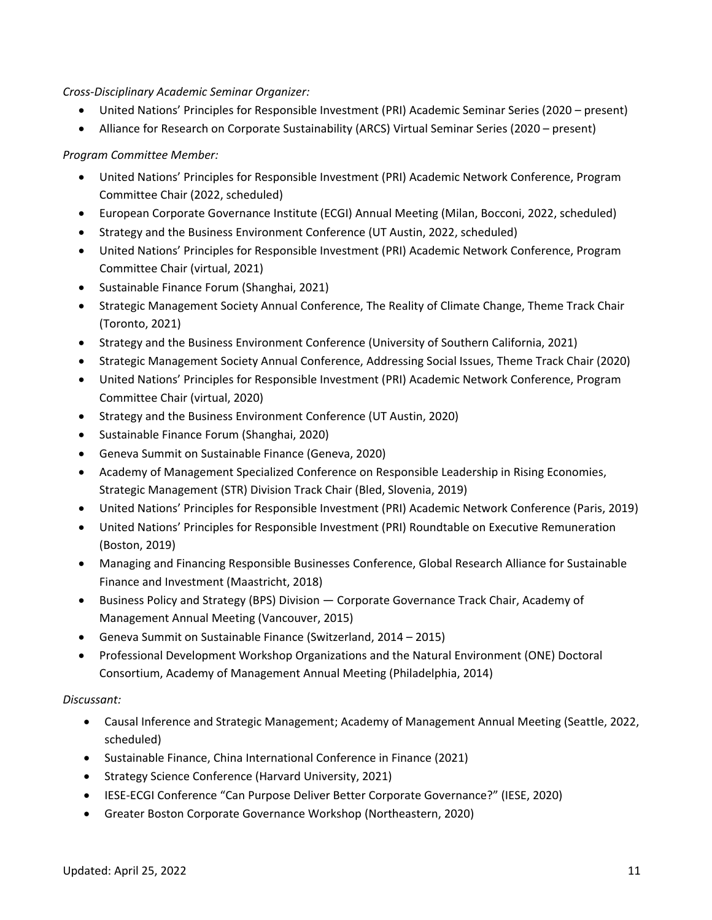*Cross-Disciplinary Academic Seminar Organizer:*

- United Nations' Principles for Responsible Investment (PRI) Academic Seminar Series (2020 present)
- Alliance for Research on Corporate Sustainability (ARCS) Virtual Seminar Series (2020 present)

## *Program Committee Member:*

- United Nations' Principles for Responsible Investment (PRI) Academic Network Conference, Program Committee Chair (2022, scheduled)
- European Corporate Governance Institute (ECGI) Annual Meeting (Milan, Bocconi, 2022, scheduled)
- Strategy and the Business Environment Conference (UT Austin, 2022, scheduled)
- United Nations' Principles for Responsible Investment (PRI) Academic Network Conference, Program Committee Chair (virtual, 2021)
- Sustainable Finance Forum (Shanghai, 2021)
- Strategic Management Society Annual Conference, The Reality of Climate Change, Theme Track Chair (Toronto, 2021)
- Strategy and the Business Environment Conference (University of Southern California, 2021)
- Strategic Management Society Annual Conference, Addressing Social Issues, Theme Track Chair (2020)
- United Nations' Principles for Responsible Investment (PRI) Academic Network Conference, Program Committee Chair (virtual, 2020)
- Strategy and the Business Environment Conference (UT Austin, 2020)
- Sustainable Finance Forum (Shanghai, 2020)
- Geneva Summit on Sustainable Finance (Geneva, 2020)
- Academy of Management Specialized Conference on Responsible Leadership in Rising Economies, Strategic Management (STR) Division Track Chair (Bled, Slovenia, 2019)
- United Nations' Principles for Responsible Investment (PRI) Academic Network Conference (Paris, 2019)
- United Nations' Principles for Responsible Investment (PRI) Roundtable on Executive Remuneration (Boston, 2019)
- Managing and Financing Responsible Businesses Conference, Global Research Alliance for Sustainable Finance and Investment (Maastricht, 2018)
- Business Policy and Strategy (BPS) Division Corporate Governance Track Chair, Academy of Management Annual Meeting (Vancouver, 2015)
- Geneva Summit on Sustainable Finance (Switzerland, 2014 2015)
- Professional Development Workshop Organizations and the Natural Environment (ONE) Doctoral Consortium, Academy of Management Annual Meeting (Philadelphia, 2014)

## *Discussant:*

- Causal Inference and Strategic Management; Academy of Management Annual Meeting (Seattle, 2022, scheduled)
- Sustainable Finance, China International Conference in Finance (2021)
- Strategy Science Conference (Harvard University, 2021)
- IESE-ECGI Conference "Can Purpose Deliver Better Corporate Governance?" (IESE, 2020)
- Greater Boston Corporate Governance Workshop (Northeastern, 2020)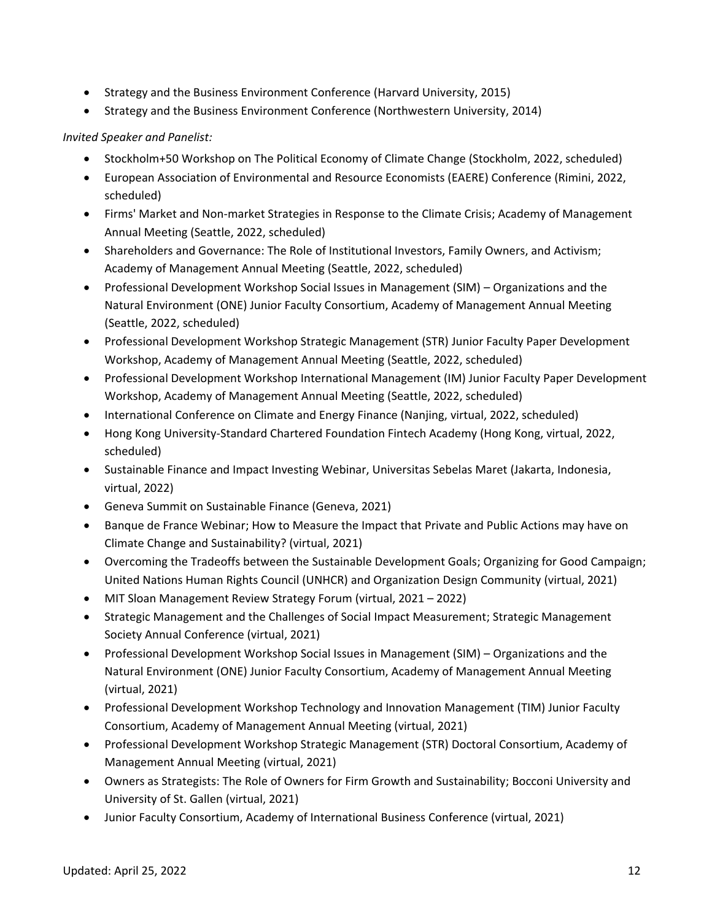- Strategy and the Business Environment Conference (Harvard University, 2015)
- Strategy and the Business Environment Conference (Northwestern University, 2014)

### *Invited Speaker and Panelist:*

- Stockholm+50 Workshop on The Political Economy of Climate Change (Stockholm, 2022, scheduled)
- European Association of Environmental and Resource Economists (EAERE) Conference (Rimini, 2022, scheduled)
- Firms' Market and Non-market Strategies in Response to the Climate Crisis; Academy of Management Annual Meeting (Seattle, 2022, scheduled)
- Shareholders and Governance: The Role of Institutional Investors, Family Owners, and Activism; Academy of Management Annual Meeting (Seattle, 2022, scheduled)
- Professional Development Workshop Social Issues in Management (SIM) Organizations and the Natural Environment (ONE) Junior Faculty Consortium, Academy of Management Annual Meeting (Seattle, 2022, scheduled)
- Professional Development Workshop Strategic Management (STR) Junior Faculty Paper Development Workshop, Academy of Management Annual Meeting (Seattle, 2022, scheduled)
- Professional Development Workshop International Management (IM) Junior Faculty Paper Development Workshop, Academy of Management Annual Meeting (Seattle, 2022, scheduled)
- International Conference on Climate and Energy Finance (Nanjing, virtual, 2022, scheduled)
- Hong Kong University-Standard Chartered Foundation Fintech Academy (Hong Kong, virtual, 2022, scheduled)
- Sustainable Finance and Impact Investing Webinar, Universitas Sebelas Maret (Jakarta, Indonesia, virtual, 2022)
- Geneva Summit on Sustainable Finance (Geneva, 2021)
- Banque de France Webinar; How to Measure the Impact that Private and Public Actions may have on Climate Change and Sustainability? (virtual, 2021)
- Overcoming the Tradeoffs between the Sustainable Development Goals; Organizing for Good Campaign; United Nations Human Rights Council (UNHCR) and Organization Design Community (virtual, 2021)
- MIT Sloan Management Review Strategy Forum (virtual, 2021 2022)
- Strategic Management and the Challenges of Social Impact Measurement; Strategic Management Society Annual Conference (virtual, 2021)
- Professional Development Workshop Social Issues in Management (SIM) Organizations and the Natural Environment (ONE) Junior Faculty Consortium, Academy of Management Annual Meeting (virtual, 2021)
- Professional Development Workshop Technology and Innovation Management (TIM) Junior Faculty Consortium, Academy of Management Annual Meeting (virtual, 2021)
- Professional Development Workshop Strategic Management (STR) Doctoral Consortium, Academy of Management Annual Meeting (virtual, 2021)
- Owners as Strategists: The Role of Owners for Firm Growth and Sustainability; Bocconi University and University of St. Gallen (virtual, 2021)
- Junior Faculty Consortium, Academy of International Business Conference (virtual, 2021)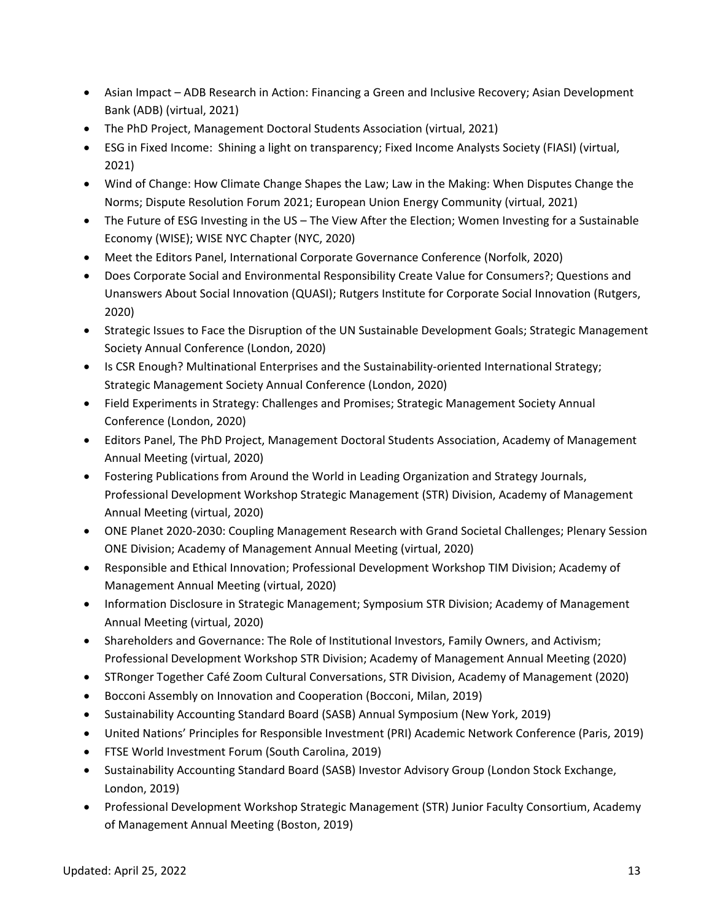- Asian Impact ADB Research in Action: Financing a Green and Inclusive Recovery; Asian Development Bank (ADB) (virtual, 2021)
- The PhD Project, Management Doctoral Students Association (virtual, 2021)
- ESG in Fixed Income: Shining a light on transparency; Fixed Income Analysts Society (FIASI) (virtual, 2021)
- Wind of Change: How Climate Change Shapes the Law; Law in the Making: When Disputes Change the Norms; Dispute Resolution Forum 2021; European Union Energy Community (virtual, 2021)
- The Future of ESG Investing in the US The View After the Election; Women Investing for a Sustainable Economy (WISE); WISE NYC Chapter (NYC, 2020)
- Meet the Editors Panel, International Corporate Governance Conference (Norfolk, 2020)
- Does Corporate Social and Environmental Responsibility Create Value for Consumers?; Questions and Unanswers About Social Innovation (QUASI); Rutgers Institute for Corporate Social Innovation (Rutgers, 2020)
- Strategic Issues to Face the Disruption of the UN Sustainable Development Goals; Strategic Management Society Annual Conference (London, 2020)
- Is CSR Enough? Multinational Enterprises and the Sustainability-oriented International Strategy; Strategic Management Society Annual Conference (London, 2020)
- Field Experiments in Strategy: Challenges and Promises; Strategic Management Society Annual Conference (London, 2020)
- Editors Panel, The PhD Project, Management Doctoral Students Association, Academy of Management Annual Meeting (virtual, 2020)
- Fostering Publications from Around the World in Leading Organization and Strategy Journals, Professional Development Workshop Strategic Management (STR) Division, Academy of Management Annual Meeting (virtual, 2020)
- ONE Planet 2020-2030: Coupling Management Research with Grand Societal Challenges; Plenary Session ONE Division; Academy of Management Annual Meeting (virtual, 2020)
- Responsible and Ethical Innovation; Professional Development Workshop TIM Division; Academy of Management Annual Meeting (virtual, 2020)
- Information Disclosure in Strategic Management; Symposium STR Division; Academy of Management Annual Meeting (virtual, 2020)
- Shareholders and Governance: The Role of Institutional Investors, Family Owners, and Activism; Professional Development Workshop STR Division; Academy of Management Annual Meeting (2020)
- STRonger Together Café Zoom Cultural Conversations, STR Division, Academy of Management (2020)
- Bocconi Assembly on Innovation and Cooperation (Bocconi, Milan, 2019)
- Sustainability Accounting Standard Board (SASB) Annual Symposium (New York, 2019)
- United Nations' Principles for Responsible Investment (PRI) Academic Network Conference (Paris, 2019)
- FTSE World Investment Forum (South Carolina, 2019)
- Sustainability Accounting Standard Board (SASB) Investor Advisory Group (London Stock Exchange, London, 2019)
- Professional Development Workshop Strategic Management (STR) Junior Faculty Consortium, Academy of Management Annual Meeting (Boston, 2019)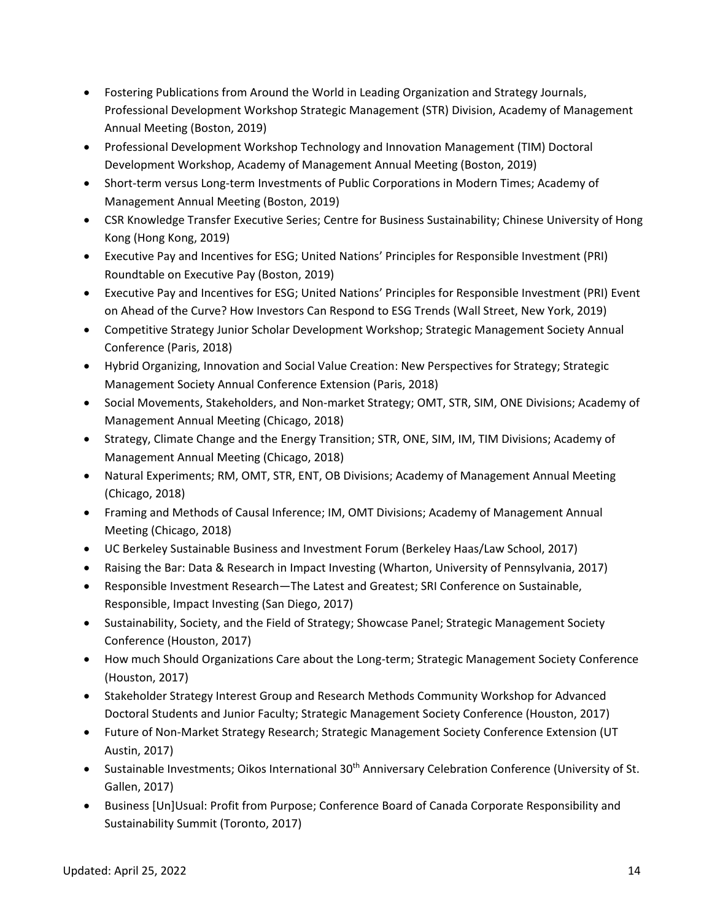- Fostering Publications from Around the World in Leading Organization and Strategy Journals, Professional Development Workshop Strategic Management (STR) Division, Academy of Management Annual Meeting (Boston, 2019)
- Professional Development Workshop Technology and Innovation Management (TIM) Doctoral Development Workshop, Academy of Management Annual Meeting (Boston, 2019)
- Short-term versus Long-term Investments of Public Corporations in Modern Times; Academy of Management Annual Meeting (Boston, 2019)
- CSR Knowledge Transfer Executive Series; Centre for Business Sustainability; Chinese University of Hong Kong (Hong Kong, 2019)
- Executive Pay and Incentives for ESG; United Nations' Principles for Responsible Investment (PRI) Roundtable on Executive Pay (Boston, 2019)
- Executive Pay and Incentives for ESG; United Nations' Principles for Responsible Investment (PRI) Event on Ahead of the Curve? How Investors Can Respond to ESG Trends (Wall Street, New York, 2019)
- Competitive Strategy Junior Scholar Development Workshop; Strategic Management Society Annual Conference (Paris, 2018)
- Hybrid Organizing, Innovation and Social Value Creation: New Perspectives for Strategy; Strategic Management Society Annual Conference Extension (Paris, 2018)
- Social Movements, Stakeholders, and Non-market Strategy; OMT, STR, SIM, ONE Divisions; Academy of Management Annual Meeting (Chicago, 2018)
- Strategy, Climate Change and the Energy Transition; STR, ONE, SIM, IM, TIM Divisions; Academy of Management Annual Meeting (Chicago, 2018)
- Natural Experiments; RM, OMT, STR, ENT, OB Divisions; Academy of Management Annual Meeting (Chicago, 2018)
- Framing and Methods of Causal Inference; IM, OMT Divisions; Academy of Management Annual Meeting (Chicago, 2018)
- UC Berkeley Sustainable Business and Investment Forum (Berkeley Haas/Law School, 2017)
- Raising the Bar: Data & Research in Impact Investing (Wharton, University of Pennsylvania, 2017)
- Responsible Investment Research―The Latest and Greatest; SRI Conference on Sustainable, Responsible, Impact Investing (San Diego, 2017)
- Sustainability, Society, and the Field of Strategy; Showcase Panel; Strategic Management Society Conference (Houston, 2017)
- How much Should Organizations Care about the Long-term; Strategic Management Society Conference (Houston, 2017)
- Stakeholder Strategy Interest Group and Research Methods Community Workshop for Advanced Doctoral Students and Junior Faculty; Strategic Management Society Conference (Houston, 2017)
- Future of Non-Market Strategy Research; Strategic Management Society Conference Extension (UT Austin, 2017)
- Sustainable Investments; Oikos International 30<sup>th</sup> Anniversary Celebration Conference (University of St. Gallen, 2017)
- Business [Un]Usual: Profit from Purpose; Conference Board of Canada Corporate Responsibility and Sustainability Summit (Toronto, 2017)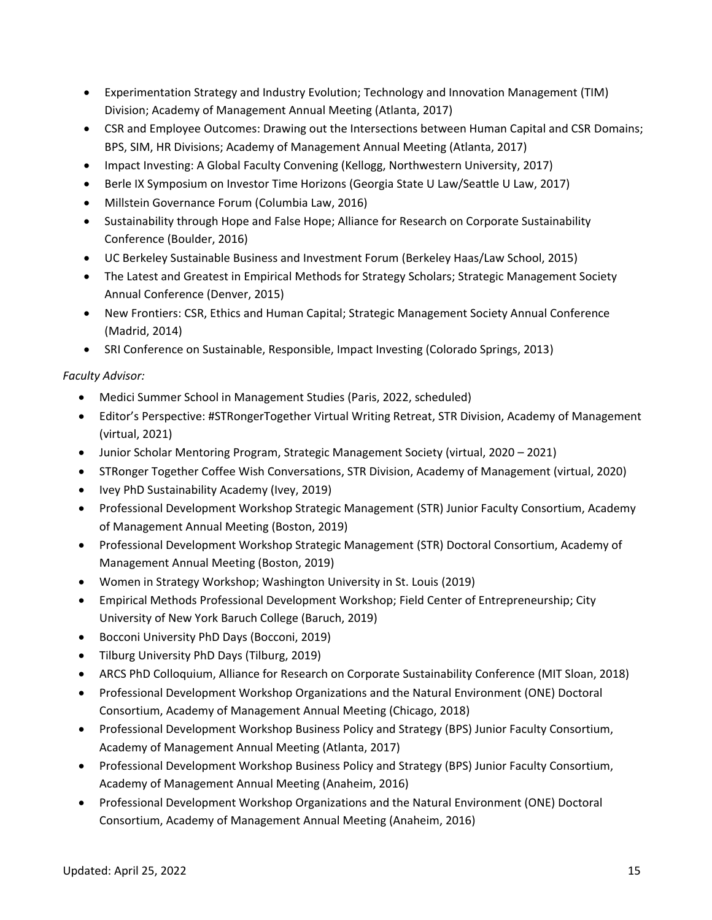- Experimentation Strategy and Industry Evolution; Technology and Innovation Management (TIM) Division; Academy of Management Annual Meeting (Atlanta, 2017)
- CSR and Employee Outcomes: Drawing out the Intersections between Human Capital and CSR Domains; BPS, SIM, HR Divisions; Academy of Management Annual Meeting (Atlanta, 2017)
- Impact Investing: A Global Faculty Convening (Kellogg, Northwestern University, 2017)
- Berle IX Symposium on Investor Time Horizons (Georgia State U Law/Seattle U Law, 2017)
- Millstein Governance Forum (Columbia Law, 2016)
- Sustainability through Hope and False Hope; Alliance for Research on Corporate Sustainability Conference (Boulder, 2016)
- UC Berkeley Sustainable Business and Investment Forum (Berkeley Haas/Law School, 2015)
- The Latest and Greatest in Empirical Methods for Strategy Scholars; Strategic Management Society Annual Conference (Denver, 2015)
- New Frontiers: CSR, Ethics and Human Capital; Strategic Management Society Annual Conference (Madrid, 2014)
- SRI Conference on Sustainable, Responsible, Impact Investing (Colorado Springs, 2013)

## *Faculty Advisor:*

- Medici Summer School in Management Studies (Paris, 2022, scheduled)
- Editor's Perspective: #STRongerTogether Virtual Writing Retreat, STR Division, Academy of Management (virtual, 2021)
- Junior Scholar Mentoring Program, Strategic Management Society (virtual, 2020 2021)
- STRonger Together Coffee Wish Conversations, STR Division, Academy of Management (virtual, 2020)
- Ivey PhD Sustainability Academy (Ivey, 2019)
- Professional Development Workshop Strategic Management (STR) Junior Faculty Consortium, Academy of Management Annual Meeting (Boston, 2019)
- Professional Development Workshop Strategic Management (STR) Doctoral Consortium, Academy of Management Annual Meeting (Boston, 2019)
- Women in Strategy Workshop; Washington University in St. Louis (2019)
- Empirical Methods Professional Development Workshop; Field Center of Entrepreneurship; City University of New York Baruch College (Baruch, 2019)
- Bocconi University PhD Days (Bocconi, 2019)
- Tilburg University PhD Days (Tilburg, 2019)
- ARCS PhD Colloquium, Alliance for Research on Corporate Sustainability Conference (MIT Sloan, 2018)
- Professional Development Workshop Organizations and the Natural Environment (ONE) Doctoral Consortium, Academy of Management Annual Meeting (Chicago, 2018)
- Professional Development Workshop Business Policy and Strategy (BPS) Junior Faculty Consortium, Academy of Management Annual Meeting (Atlanta, 2017)
- Professional Development Workshop Business Policy and Strategy (BPS) Junior Faculty Consortium, Academy of Management Annual Meeting (Anaheim, 2016)
- Professional Development Workshop Organizations and the Natural Environment (ONE) Doctoral Consortium, Academy of Management Annual Meeting (Anaheim, 2016)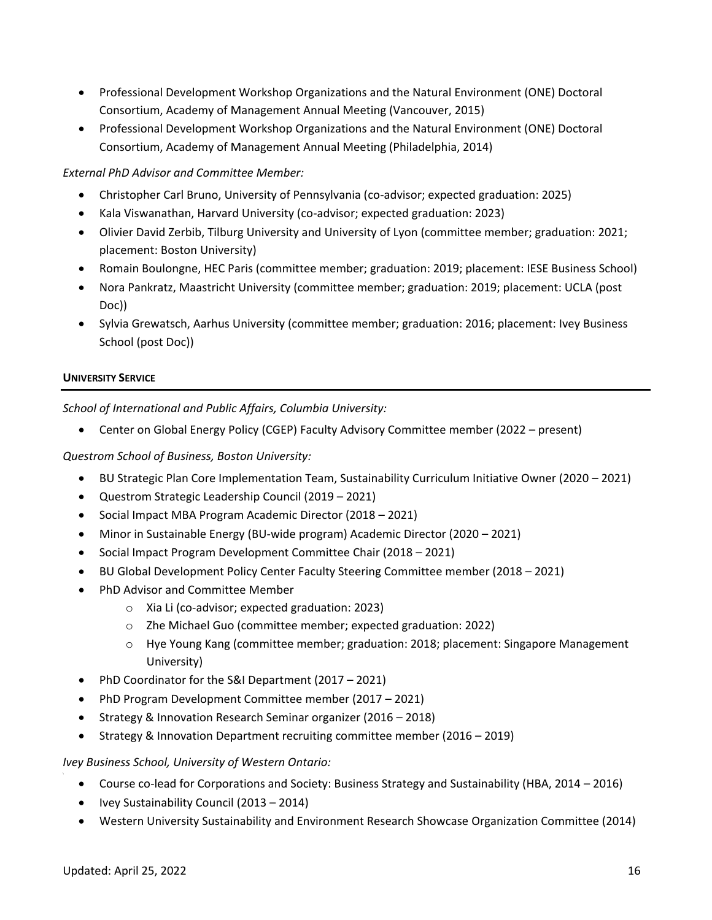- Professional Development Workshop Organizations and the Natural Environment (ONE) Doctoral Consortium, Academy of Management Annual Meeting (Vancouver, 2015)
- Professional Development Workshop Organizations and the Natural Environment (ONE) Doctoral Consortium, Academy of Management Annual Meeting (Philadelphia, 2014)

*External PhD Advisor and Committee Member:*

- Christopher Carl Bruno, University of Pennsylvania (co-advisor; expected graduation: 2025)
- Kala Viswanathan, Harvard University (co-advisor; expected graduation: 2023)
- Olivier David Zerbib, Tilburg University and University of Lyon (committee member; graduation: 2021; placement: Boston University)
- Romain Boulongne, HEC Paris (committee member; graduation: 2019; placement: IESE Business School)
- Nora Pankratz, Maastricht University (committee member; graduation: 2019; placement: UCLA (post Doc))
- Sylvia Grewatsch, Aarhus University (committee member; graduation: 2016; placement: Ivey Business School (post Doc))

### **UNIVERSITY SERVICE**

*School of International and Public Affairs, Columbia University:*

• Center on Global Energy Policy (CGEP) Faculty Advisory Committee member (2022 – present)

### *Questrom School of Business, Boston University:*

- BU Strategic Plan Core Implementation Team, Sustainability Curriculum Initiative Owner (2020 2021)
- Questrom Strategic Leadership Council (2019 2021)
- Social Impact MBA Program Academic Director (2018 2021)
- Minor in Sustainable Energy (BU-wide program) Academic Director (2020 2021)
- Social Impact Program Development Committee Chair (2018 2021)
- BU Global Development Policy Center Faculty Steering Committee member (2018 2021)
- PhD Advisor and Committee Member
	- o Xia Li (co-advisor; expected graduation: 2023)
	- o Zhe Michael Guo (committee member; expected graduation: 2022)
	- o Hye Young Kang (committee member; graduation: 2018; placement: Singapore Management University)
- PhD Coordinator for the S&I Department (2017 2021)
- PhD Program Development Committee member (2017 2021)
- Strategy & Innovation Research Seminar organizer (2016 2018)
- Strategy & Innovation Department recruiting committee member (2016 2019)

### *Ivey Business School, University of Western Ontario:*

- Course co-lead for Corporations and Society: Business Strategy and Sustainability (HBA, 2014 2016)
- Ivey Sustainability Council (2013 2014)
- Western University Sustainability and Environment Research Showcase Organization Committee (2014)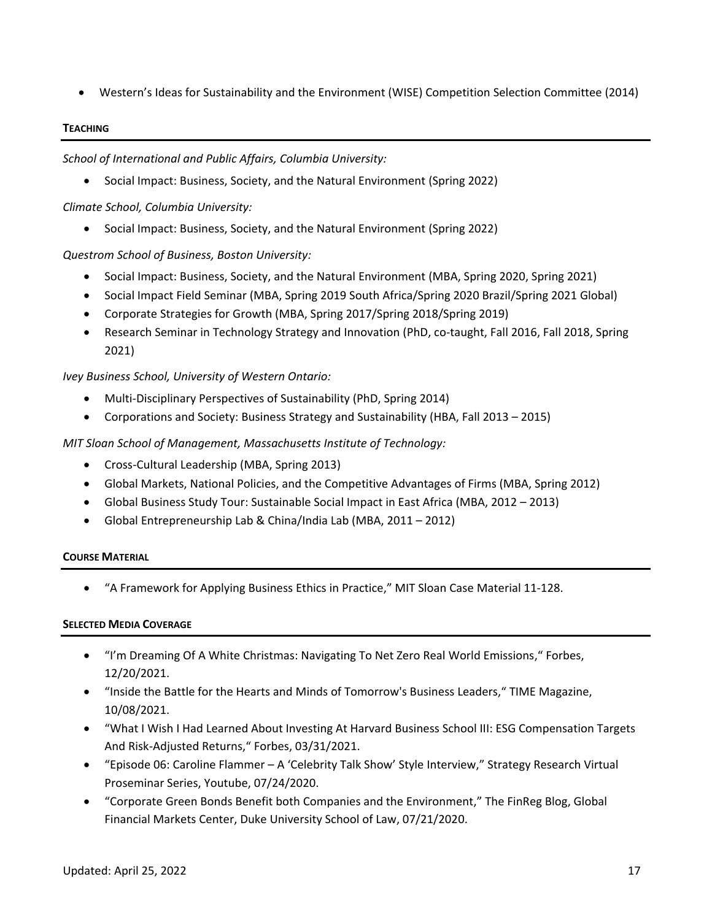• Western's Ideas for Sustainability and the Environment (WISE) Competition Selection Committee (2014)

#### **TEACHING**

*School of International and Public Affairs, Columbia University:*

• Social Impact: Business, Society, and the Natural Environment (Spring 2022)

*Climate School, Columbia University:*

• Social Impact: Business, Society, and the Natural Environment (Spring 2022)

### *Questrom School of Business, Boston University:*

- Social Impact: Business, Society, and the Natural Environment (MBA, Spring 2020, Spring 2021)
- Social Impact Field Seminar (MBA, Spring 2019 South Africa/Spring 2020 Brazil/Spring 2021 Global)
- Corporate Strategies for Growth (MBA, Spring 2017/Spring 2018/Spring 2019)
- Research Seminar in Technology Strategy and Innovation (PhD, co-taught, Fall 2016, Fall 2018, Spring 2021)

### *Ivey Business School, University of Western Ontario:*

- Multi-Disciplinary Perspectives of Sustainability (PhD, Spring 2014)
- Corporations and Society: Business Strategy and Sustainability (HBA, Fall 2013 2015)

### *MIT Sloan School of Management, Massachusetts Institute of Technology:*

- Cross-Cultural Leadership (MBA, Spring 2013)
- Global Markets, National Policies, and the Competitive Advantages of Firms (MBA, Spring 2012)
- Global Business Study Tour: Sustainable Social Impact in East Africa (MBA, 2012 2013)
- Global Entrepreneurship Lab & China/India Lab (MBA, 2011 2012)

### **COURSE MATERIAL**

• "A Framework for Applying Business Ethics in Practice," MIT Sloan Case Material 11-128.

### **SELECTED MEDIA COVERAGE**

- "I'm Dreaming Of A White Christmas: Navigating To Net Zero Real World Emissions," Forbes, 12/20/2021.
- "Inside the Battle for the Hearts and Minds of Tomorrow's Business Leaders," TIME Magazine, 10/08/2021.
- "What I Wish I Had Learned About Investing At Harvard Business School III: ESG Compensation Targets And Risk-Adjusted Returns," Forbes, 03/31/2021.
- "Episode 06: Caroline Flammer A 'Celebrity Talk Show' Style Interview," Strategy Research Virtual Proseminar Series, Youtube, 07/24/2020.
- "Corporate Green Bonds Benefit both Companies and the Environment," The FinReg Blog, Global Financial Markets Center, Duke University School of Law, 07/21/2020.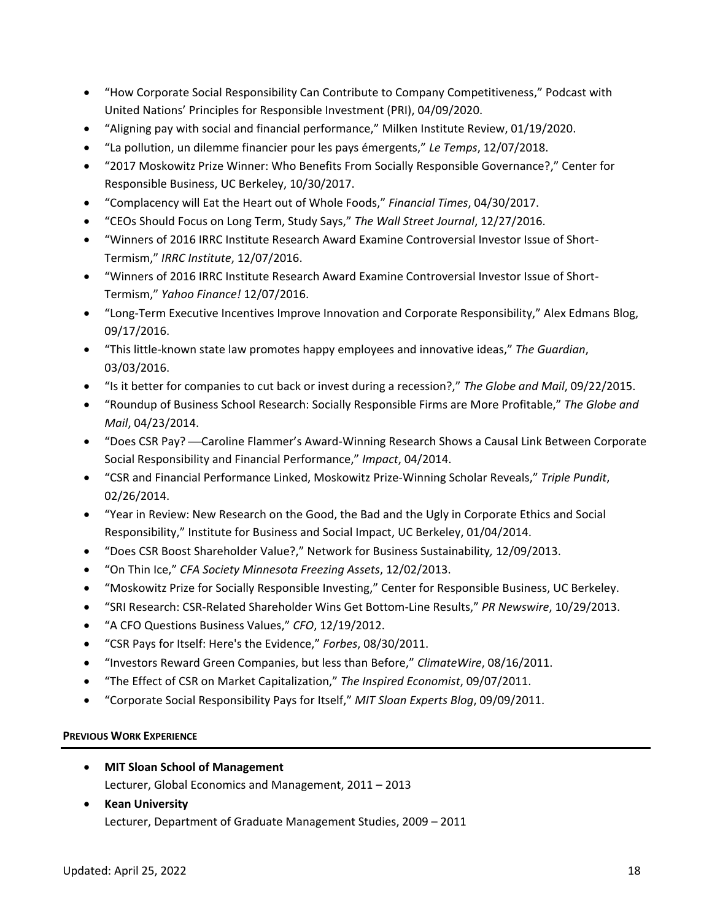- "How Corporate Social Responsibility Can Contribute to Company Competitiveness," Podcast with United Nations' Principles for Responsible Investment (PRI), 04/09/2020.
- "Aligning pay with social and financial performance," Milken Institute Review, 01/19/2020.
- "La pollution, un dilemme financier pour les pays émergents," *Le Temps*, 12/07/2018.
- "2017 Moskowitz Prize Winner: Who Benefits From Socially Responsible Governance?," Center for Responsible Business, UC Berkeley, 10/30/2017.
- "Complacency will Eat the Heart out of Whole Foods," *Financial Times*, 04/30/2017.
- "CEOs Should Focus on Long Term, Study Says," *The Wall Street Journal*, 12/27/2016.
- "Winners of 2016 IRRC Institute Research Award Examine Controversial Investor Issue of Short-Termism," *IRRC Institute*, 12/07/2016.
- "Winners of 2016 IRRC Institute Research Award Examine Controversial Investor Issue of Short-Termism," *Yahoo Finance!* 12/07/2016.
- "Long-Term Executive Incentives Improve Innovation and Corporate Responsibility," Alex Edmans Blog, 09/17/2016.
- "This little-known state law promotes happy employees and innovative ideas," *The Guardian*, 03/03/2016.
- "Is it better for companies to cut back or invest during a recession?," *The Globe and Mail*, 09/22/2015.
- "Roundup of Business School Research: Socially Responsible Firms are More Profitable," *The Globe and Mail*, 04/23/2014.
- "Does CSR Pay? —Caroline Flammer's Award-Winning Research Shows a Causal Link Between Corporate Social Responsibility and Financial Performance," *Impact*, 04/2014.
- "CSR and Financial Performance Linked, Moskowitz Prize-Winning Scholar Reveals," *Triple Pundit*, 02/26/2014.
- "Year in Review: New Research on the Good, the Bad and the Ugly in Corporate Ethics and Social Responsibility," Institute for Business and Social Impact, UC Berkeley, 01/04/2014.
- "Does CSR Boost Shareholder Value?," Network for Business Sustainability*,* 12/09/2013.
- "On Thin Ice," *CFA Society Minnesota Freezing Assets*, 12/02/2013.
- "Moskowitz Prize for Socially Responsible Investing," Center for Responsible Business, UC Berkeley.
- "SRI Research: CSR-Related Shareholder Wins Get Bottom-Line Results," *PR Newswire*, 10/29/2013.
- "A CFO Questions Business Values," *CFO*, 12/19/2012.
- "CSR Pays for Itself: Here's the Evidence," *Forbes*, 08/30/2011.
- "Investors Reward Green Companies, but less than Before," *ClimateWire*, 08/16/2011.
- "The Effect of CSR on Market Capitalization," *The Inspired Economist*, 09/07/2011.
- "Corporate Social Responsibility Pays for Itself," *MIT Sloan Experts Blog*, 09/09/2011.

### **PREVIOUS WORK EXPERIENCE**

• **MIT Sloan School of Management**

Lecturer, Global Economics and Management, 2011 – 2013

• **Kean University** Lecturer, Department of Graduate Management Studies, 2009 – 2011